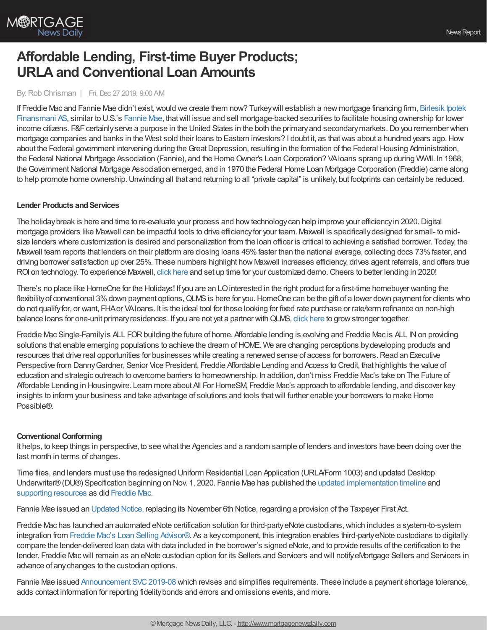

# **Affordable Lending, First-time Buyer Products; URLA and Conventional Loan Amounts**

# By:Rob Chrisman | Fri, Dec 27 2019, 9:00 AM

If Freddie Mac and Fannie Mae didn't exist, would we create them now? Turkey will establish a new mortgage financing firm, Birlesik Ipotek Finansmani AS, similar to U.S.'s [Fannie](https://www.bloomberg.com/quote/FNMA:US) Mae, thatwill issue and sell [mortgage-backed](https://www.bloomberg.com/news/articles/2019-12-25/turkey-to-set-up-fannie-mae-like-mortgage-financing-company) securities to facilitate housing ownership for lower income citizens. F&F certainly serve a purpose in the United States in the both the primary and secondary markets. Do you remember when mortgage companies and banks in the West sold their loans to Eastern investors? I doubt it, as that was about a hundred years ago. How about the Federal government intervening during the Great Depression, resulting in the formation of the Federal Housing Administration, the Federal National Mortgage Association (Fannie), and the Home Owner's Loan Corporation? VAIoans sprang up during WWII. In 1968, the Government National Mortgage Association emerged, and in 1970 the Federal Home Loan Mortgage Corporation (Freddie) came along to help promote home ownership. Unwinding all that and returning to all "private capital" is unlikely, but footprints can certainly be reduced.

#### **Lender Products and Services**

The holiday break is here and time to re-evaluate your process and how technology can help improve your efficiency in 2020. Digital mortgage providers like Maxwell can be impactful tools to drive efficiencyfor your team. Maxwell is specificallydesigned for small- to midsize lenders where customization is desired and personalization from the loan officer is critical to achieving a satisfied borrower. Today, the Maxwell team reports that lenders on their platform are closing loans 45% faster than the national average, collecting docs 73% faster, and driving borrower satisfaction up over 25%. These numbers highlight how Maxwell increases efficiency, drives agent referrals, and offers true ROI on technology. To experience Maxwell, click [here](https://himaxwell.com/?utm_source=RC_CTA&utm_campaign=RC_12.27.19) and set up time for your customized demo. Cheers to better lending in 2020!

There's no place like HomeOne for the Holidays! If you are an LOinterested in the right product for a first-time homebuyer wanting the flexibility of conventional 3% down payment options, QLMS is here for you. HomeOne can be the gift of a lower down payment for clients who do not qualifyfor, or want, FHAor VAloans. It is the ideal tool for those looking for fixed rate purchase or rate/term refinance on non-high balance loans for one-unit primary residences. If you are not yet a partner with QLMS, click [here](https://www.qlmortgageservices.com/) to grow stronger together.

Freddie Mac Single-Family is ALL FOR building the future of home. Affordable lending is evolving and Freddie Mac is ALL IN on providing solutions that enable emerging populations to achieve the dream of HOME. We are changing perceptions by developing products and resources that drive real opportunities for businesses while creating a renewed sense of access for borrowers. Read an Executive Perspective from Danny Gardner, Senior Vice President, Freddie Affordable Lending and Access to Credit, that highlights the value of education and strategic outreach to overcome barriers to homeownership. In addition, don't miss Freddie Mac's take on The Future of Affordable Lending in Housingwire. Learn more about All For HomeSM, Freddie Mac's approach to affordable lending, and discover key insights to inform your business and take advantage of solutions and tools thatwill further enable your borrowers to make Home Possible®.

#### **Conventional Conforming**

It helps, to keep things in perspective, to see what the Agencies and a random sample of lenders and investors have been doing over the last month in terms of changes.

Time flies, and lenders must use the redesigned Uniform Residential Loan Application (URLA/Form 1003) and updated Desktop Underwriter®(DU®) Specification beginning on Nov. 1, 2020. Fannie Mae has published the updated [implementation](https://www.fanniemae.com/content/news/urla-announcement-december-2019.pdf?utm_campaign=ssn-sell2019iss&utm_source=sfsfmc&utm_medium=email&utm_content=eml-noa-121819a-o-n&utm_term=b2b) timeline and [supporting](https://www.fanniemae.com/singlefamily/uniform-residential-loan-application?utm_campaign=ssn-sell2019iss&utm_source=sfsfmc&utm_medium=email&utm_content=eml-noa-121819a-o-n&utm_term=b2b) resources as did [Freddie](https://sf.freddiemac.com/articles/news/freddie-mac-and-fannie-mae-publish-implementation-timeline-and-supporting-documents-for-revised-urla-and-updated-aus-specifications) Mac.

Fannie Mae issued an [Updated](https://www.fanniemae.com/content/announcement/ntce121619.pdf?utm_campaign=ssn-sell2019iss&utm_source=sfsfmc&utm_medium=email&utm_content=eml-noa-121819b-o-n&utm_term=b2b) Notice, replacing its November 6th Notice, regarding a provision of the Taxpayer First Act.

Freddie Mac has launched an automated eNote certification solution for third-party eNote custodians, which includes a system-to-system integration from Freddie Mac's Loan Selling [Advisor®](https://sf.freddiemac.com/tools-learning/loan-advisor/our-solutions/loan-selling-advisor). As a keycomponent, this integration enables third-partyeNote custodians to digitally compare the lender-delivered loan data with data included in the borrower's signed eNote, and to provide results of the certification to the lender. Freddie Macwill remain as an eNote custodian option for its Sellers and Servicers and will notifyeMortgage Sellers and Servicers in advance of anychanges to the custodian options.

Fannie Mae issued [Announcement](https://www.fanniemae.com/content/announcement/svc1908.pdf?utm_campaign=ssn-sell2019iss&utm_source=sfsfmc&utm_medium=email&utm_content=eml-noa-121119a-o-n&utm_term=b2b) SVC2019-08 which revises and simplifies requirements. These include a payment shortage tolerance, adds contact information for reporting fidelitybonds and errors and omissions events, and more.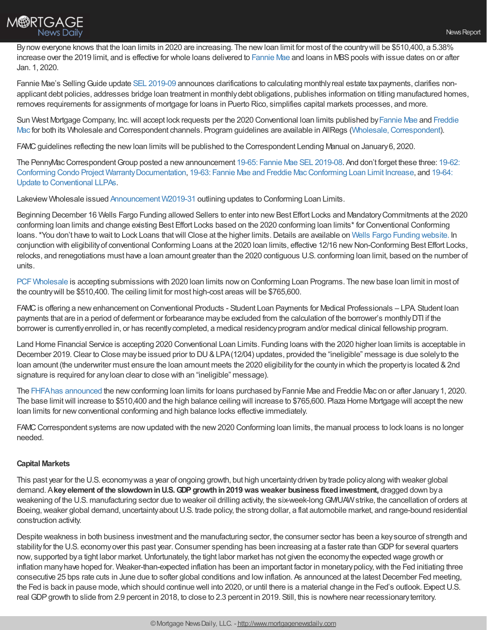

By now everyone knows that the loan limits in 2020 are increasing. The new loan limit for most of the country will be \$510,400, a 5.38% increase over the 2019 limit, and is effective for whole loans delivered to [Fannie](https://www.fanniemae.com/content/announcement/ll1909.pdf) Mae and loans in MBS pools with issue dates on or after Jan. 1, 2020.

Fannie Mae's SellingGuide update SEL [2019-09](https://www.fanniemae.com/content/announcement/sel1909.pdf?utm_campaign=ssn-sell2019iss&utm_source=sfsfmc&utm_medium=email&utm_content=eml-noa-120419a-o-n&utm_term=b2b) announces clarifications to calculating monthlyreal estate taxpayments, clarifies nonapplicant debt policies, addresses bridge loan treatment in monthlydebt obligations, publishes information on titling manufactured homes, removes requirements for assignments of mortgage for loans in Puerto Rico, simplifies capital markets processes, and more.

Sun West Mortgage Company, Inc.will accept lock requests per the 2020 Conventional loan limits published by[Fannie](https://www.fanniemae.com/singlefamily/loan-limits) Mae and Freddie Mac for both its Wholesale and Correspondent channels. Program guidelines are available in AllRegs (Wholesale, Correspondent).

FAMCguidelines reflecting the newloan limits will be published to the Correspondent Lending Manual on January6, 2020.

The PennyMac Correspondent Group posted a new announcement 19-65: Fannie Mae SEL [2019-08](https://clicks.aweber.com/y/ct/?l=DmJZc&m=3Ys8H_wC5I6R._Z&b=xbV.5qdddDh5eaGkVbmV3w). And don't forget these three: 19-62: Conforming Condo Project [WarrantyDocumentation,](https://www.gopennymac.com/announcements/19-64-announcement-11-27-2019) 19-63: Fannie Mae and Freddie [MacConforming](https://www.gopennymac.com/announcements/19-63-announcement-11-27-2019) Loan Limit Increase, and 19-64: Update to Conventional LLPAs.

Lakeview Wholesale issued [Announcement](https://files.constantcontact.com/04292f09501/ea74d7a3-6e14-46ea-a32c-a8184e1fdf5d.pdf) W2019-31 outlining updates to Conforming Loan Limits.

Beginning December 16 Wells Fargo Funding allowed Sellers to enter into new Best Effort Locks and Mandatory Commitments at the 2020 conforming loan limits and change existing Best Effort Locks based on the 2020 conforming loan limits\* for Conventional Conforming loans. \*You don't have to wait to Lock Loans that will Close at the higher limits. Details are available on Wells Fargo Funding [website.](https://wffnet.wellsfargo.com/ilonline/funding/wff_landingPageFrameSet.jsp) In conjunction with eligibilityof conventional Conforming Loans at the 2020 loan limits, effective 12/16 newNon-Conforming Best Effort Locks, relocks, and renegotiations must have a loan amount greater than the 2020 contiguous U.S. conforming loan limit, based on the number of units.

PCF Wholesale is accepting submissions with 2020 loan limits now on Conforming Loan Programs. The new base loan limit in most of the countrywill be \$510,400. The ceiling limit for most high-cost areas will be \$765,600.

FAMC is offering a new enhancement on Conventional Products - Student Loan Payments for Medical Professionals – LPA Student Ioan payments that are in a period of deferment or forbearance maybe excluded from the calculation of the borrower's monthlyDTI if the borrower is currently enrolled in, or has recently completed, a medical residency program and/or medical clinical fellowship program.

Land Home Financial Service is accepting 2020 Conventional Loan Limits. Funding loans with the 2020 higher loan limits is acceptable in December 2019. Clear to Close may be issued prior to DU & LPA(12/04) updates, provided the "ineligible" message is due solely to the loan amount (the underwriter must ensure the loan amount meets the 2020 eligibility for the county in which the property is located & 2nd signature is required for anyloan clear to close with an "ineligible" message).

The FHFA has [announced](https://www.fhfa.gov/Media/PublicAffairs/Pages/FHFA-Announces-Maximum-Conforming-Loan-Limits-for-2020.aspx) the new conforming loan limits for loans purchased by Fannie Mae and Freddie Mac on or after January 1, 2020. The base limitwill increase to \$510,400 and the high balance ceiling will increase to \$765,600. Plaza Home Mortgage will accept the new loan limits for new conventional conforming and high balance locks effective immediately.

FAMC Correspondent systems are now updated with the new 2020 Conforming loan limits, the manual process to lock loans is no longer needed.

# **Capital Markets**

This past year for the U.S. economywas a year of ongoing growth, but high uncertaintydriven bytrade policyalong with weaker global demand. A**keyelement of the slowdowninU.S.GDPgrowthin2019wasweaker business fixedinvestment,** dragged down bya weakening of the U.S. manufacturing sector due to weaker oil drilling activity, the six-week-longGM/UAWstrike, the cancellation of orders at Boeing, weaker global demand, uncertainty about U.S. trade policy, the strong dollar, a flat automobile market, and range-bound residential construction activity.

Despite weakness in both business investment and the manufacturing sector, the consumer sector has been a keysource of strength and stability for the U.S. economy over this past year. Consumer spending has been increasing at a faster rate than GDP for several quarters now, supported bya tight labor market.Unfortunately, the tight labor market has not given the economythe expected wage growth or inflation many have hoped for. Weaker-than-expected inflation has been an important factor in monetary policy, with the Fed initiating three consecutive 25 bps rate cuts in June due to softer global conditions and low inflation. As announced at the latest December Fed meeting, the Fed is back in pause mode,which should continue well into 2020, or until there is a material change in the Fed's outlook. ExpectU.S. real GDPgrowth to slide from 2.9 percent in 2018, to close to 2.3 percent in 2019. Still, this is nowhere near recessionaryterritory.